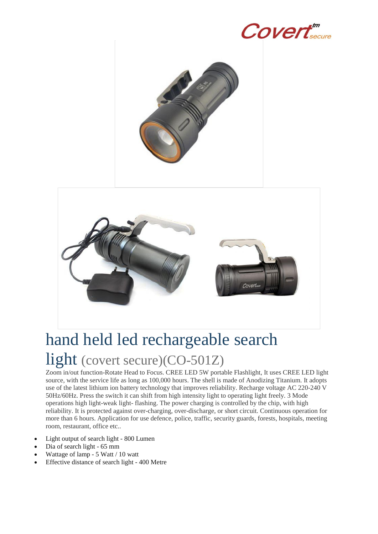

## hand held led rechargeable search light (covert secure)(CO-501Z)

Zoom in/out function-Rotate Head to Focus. CREE LED 5W portable Flashlight, It uses CREE LED light source, with the service life as long as 100,000 hours. The shell is made of Anodizing Titanium. It adopts use of the latest lithium ion battery technology that improves reliability. Recharge voltage AC 220-240 V 50Hz/60Hz. Press the switch it can shift from high intensity light to operating light freely. 3 Mode operations high light-weak light- flashing. The power charging is controlled by the chip, with high reliability. It is protected against over-charging, over-discharge, or short circuit. Continuous operation for more than 6 hours. Application for use defence, police, traffic, security guards, forests, hospitals, meeting room, restaurant, office etc..

- Light output of search light 800 Lumen
- Dia of search light 65 mm
- Wattage of lamp 5 Watt / 10 watt
- Effective distance of search light 400 Metre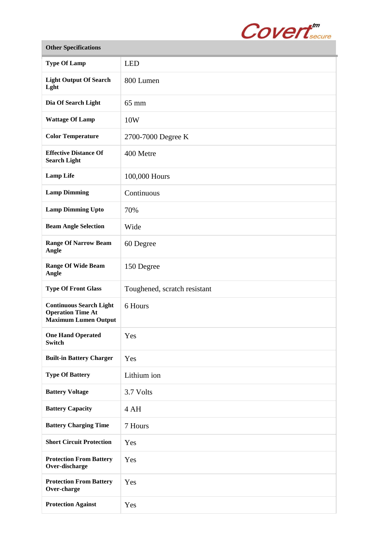

| <b>Other Specifications</b>                                                               |                              |
|-------------------------------------------------------------------------------------------|------------------------------|
| <b>Type Of Lamp</b>                                                                       | <b>LED</b>                   |
| <b>Light Output Of Search</b><br>Lght                                                     | 800 Lumen                    |
| Dia Of Search Light                                                                       | $65 \text{ mm}$              |
| <b>Wattage Of Lamp</b>                                                                    | 10W                          |
| <b>Color Temperature</b>                                                                  | 2700-7000 Degree K           |
| <b>Effective Distance Of</b><br><b>Search Light</b>                                       | 400 Metre                    |
| <b>Lamp Life</b>                                                                          | 100,000 Hours                |
| <b>Lamp Dimming</b>                                                                       | Continuous                   |
| <b>Lamp Dimming Upto</b>                                                                  | 70%                          |
| <b>Beam Angle Selection</b>                                                               | Wide                         |
| <b>Range Of Narrow Beam</b><br>Angle                                                      | 60 Degree                    |
| <b>Range Of Wide Beam</b><br>Angle                                                        | 150 Degree                   |
| <b>Type Of Front Glass</b>                                                                | Toughened, scratch resistant |
| <b>Continuous Search Light</b><br><b>Operation Time At</b><br><b>Maximum Lumen Output</b> | 6 Hours                      |
| <b>One Hand Operated</b><br><b>Switch</b>                                                 | Yes                          |
| <b>Built-in Battery Charger</b>                                                           | Yes                          |
| <b>Type Of Battery</b>                                                                    | Lithium ion                  |
| <b>Battery Voltage</b>                                                                    | 3.7 Volts                    |
| <b>Battery Capacity</b>                                                                   | 4 AH                         |
| <b>Battery Charging Time</b>                                                              | 7 Hours                      |
| <b>Short Circuit Protection</b>                                                           | Yes                          |
| <b>Protection From Battery</b><br>Over-discharge                                          | Yes                          |
| <b>Protection From Battery</b><br>Over-charge                                             | Yes                          |
| <b>Protection Against</b>                                                                 | Yes                          |